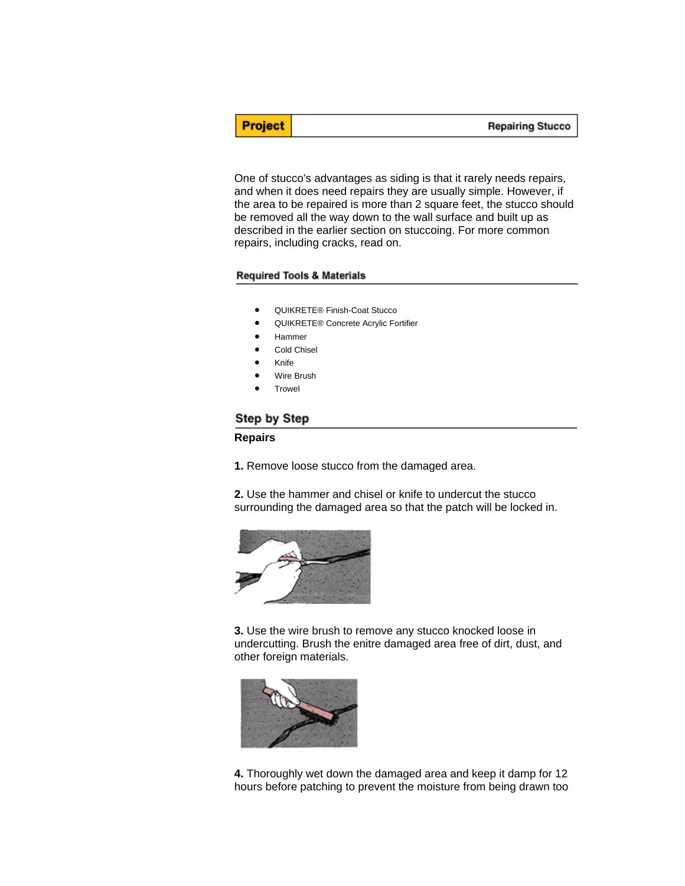**Repairing Stucco** 

One of stucco's advantages as siding is that it rarely needs repairs, and when it does need repairs they are usually simple. However, if the area to be repaired is more than 2 square feet, the stucco should be removed all the way down to the wall surface and built up as described in the earlier section on stuccoing. For more common repairs, including cracks, read on.

## **Required Tools & Materials**

- QUIKRETE® Finish-Coat Stucco
- QUIKRETE® Concrete Acrylic Fortifier
- Hammer
- Cold Chisel
- Knife

**Project** 

- Wire Brush
- **Trowel**

## Step by Step

## **Repairs**

**1.** Remove loose stucco from the damaged area.

**2.** Use the hammer and chisel or knife to undercut the stucco surrounding the damaged area so that the patch will be locked in.



**3.** Use the wire brush to remove any stucco knocked loose in undercutting. Brush the enitre damaged area free of dirt, dust, and other foreign materials.



**4.** Thoroughly wet down the damaged area and keep it damp for 12 hours before patching to prevent the moisture from being drawn too